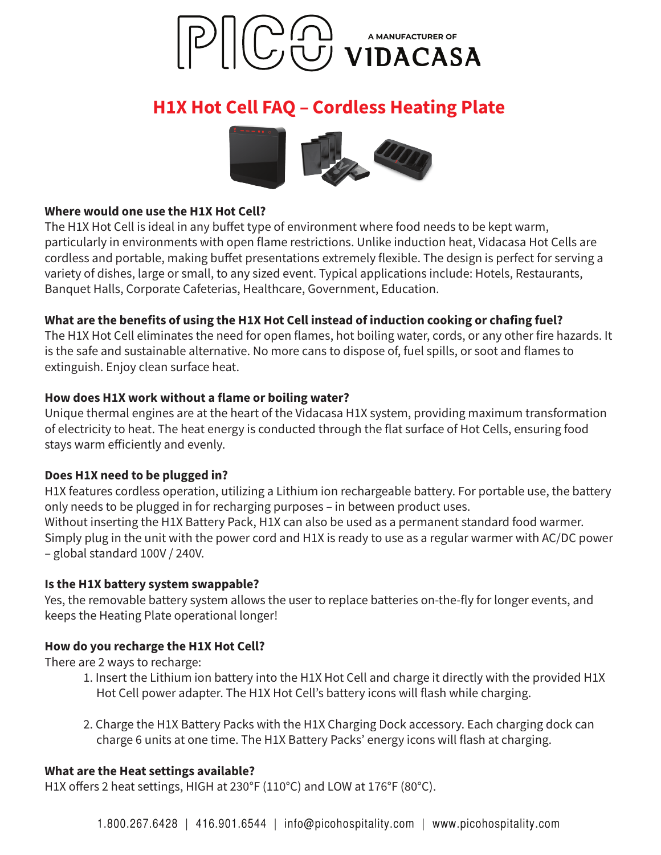

# **H1X Hot Cell FAQ - Cordless Heating Plate**



#### Where would one use the H1X Hot Cell?

The H1X Hot Cell is ideal in any buffet type of environment where food needs to be kept warm, particularly in environments with open flame restrictions. Unlike induction heat, Vidacasa Hot Cells are cordless and portable, making buffet presentations extremely flexible. The design is perfect for serving a variety of dishes, large or small, to any sized event. Typical applications include: Hotels, Restaurants, Banquet Halls, Corporate Cafeterias, Healthcare, Government, Education.

## What are the benefits of using the H1X Hot Cell instead of induction cooking or chafing fuel?

The H1X Hot Cell eliminates the need for open flames, hot boiling water, cords, or any other fire hazards. It is the safe and sustainable alternative. No more cans to dispose of, fuel spills, or soot and flames to extinguish. Enjoy clean surface heat.

## How does H1X work without a flame or boiling water?

Unique thermal engines are at the heart of the Vidacasa H1X system, providing maximum transformation of electricity to heat. The heat energy is conducted through the flat surface of Hot Cells, ensuring food stays warm efficiently and evenly.

## Does H1X need to be plugged in?

H1X features cordless operation, utilizing a Lithium ion rechargeable battery. For portable use, the battery only needs to be plugged in for recharging purposes - in between product uses. Without inserting the H1X Battery Pack, H1X can also be used as a permanent standard food warmer. Simply plug in the unit with the power cord and H1X is ready to use as a regular warmer with AC/DC power - global standard 100V / 240V.

#### Is the H1X battery system swappable?

Yes, the removable battery system allows the user to replace batteries on-the-fly for longer events, and keeps the Heating Plate operational longer!

## How do you recharge the H1X Hot Cell?

There are 2 ways to recharge:

- 1. Insert the Lithium ion battery into the H1X Hot Cell and charge it directly with the provided H1X Hot Cell power adapter. The H1X Hot Cell's battery icons will flash while charging.
- 2. Charge the H1X Battery Packs with the H1X Charging Dock accessory. Each charging dock can charge 6 units at one time. The H1X Battery Packs' energy icons will flash at charging.

#### What are the Heat settings available?

H1X offers 2 heat settings, HIGH at 230°F (110°C) and LOW at 176°F (80°C).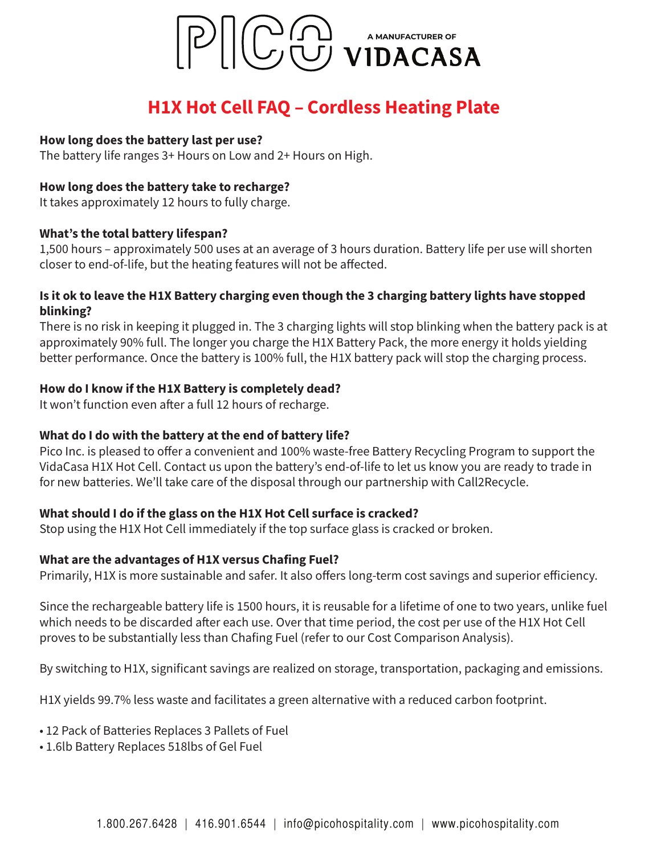

# **H1X Hot Cell FAQ - Cordless Heating Plate**

#### How long does the battery last per use?

The battery life ranges 3+ Hours on Low and 2+ Hours on High.

#### How long does the battery take to recharge?

It takes approximately 12 hours to fully charge.

#### What's the total battery lifespan?

1,500 hours – approximately 500 uses at an average of 3 hours duration. Battery life per use will shorten closer to end-of-life, but the heating features will not be affected.

## Is it ok to leave the H1X Battery charging even though the 3 charging battery lights have stopped blinking?

There is no risk in keeping it plugged in. The 3 charging lights will stop blinking when the battery pack is at approximately 90% full. The longer you charge the H1X Battery Pack, the more energy it holds yielding better performance. Once the battery is 100% full, the H1X battery pack will stop the charging process.

#### How do I know if the H1X Battery is completely dead?

It won't function even after a full 12 hours of recharge.

## What do I do with the battery at the end of battery life?

Pico Inc. is pleased to offer a convenient and 100% waste-free Battery Recycling Program to support the VidaCasa H1X Hot Cell. Contact us upon the battery's end-of-life to let us know you are ready to trade in for new batteries. We'll take care of the disposal through our partnership with Call2Recycle.

#### What should I do if the glass on the H1X Hot Cell surface is cracked?

Stop using the H1X Hot Cell immediately if the top surface glass is cracked or broken.

#### What are the advantages of H1X versus Chafing Fuel?

Primarily, H1X is more sustainable and safer. It also offers long-term cost savings and superior efficiency.

Since the rechargeable battery life is 1500 hours, it is reusable for a lifetime of one to two years, unlike fuel which needs to be discarded after each use. Over that time period, the cost per use of the H1X Hot Cell proves to be substantially less than Chafing Fuel (refer to our Cost Comparison Analysis).

By switching to H1X, significant savings are realized on storage, transportation, packaging and emissions.

H1X yields 99.7% less waste and facilitates a green alternative with a reduced carbon footprint.

- 12 Pack of Batteries Replaces 3 Pallets of Fuel
- 1.6lb Battery Replaces 518lbs of Gel Fuel